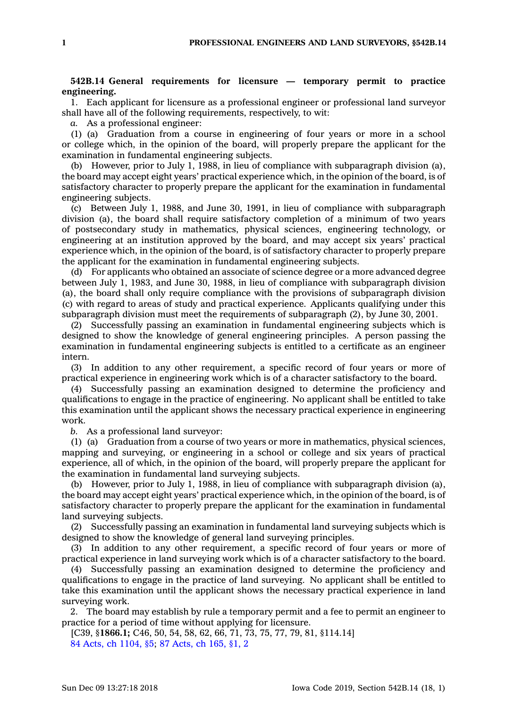## **542B.14 General requirements for licensure — temporary permit to practice engineering.**

1. Each applicant for licensure as <sup>a</sup> professional engineer or professional land surveyor shall have all of the following requirements, respectively, to wit:

*a.* As <sup>a</sup> professional engineer:

(1) (a) Graduation from <sup>a</sup> course in engineering of four years or more in <sup>a</sup> school or college which, in the opinion of the board, will properly prepare the applicant for the examination in fundamental engineering subjects.

(b) However, prior to July 1, 1988, in lieu of compliance with subparagraph division (a), the board may accept eight years' practical experience which, in the opinion of the board, is of satisfactory character to properly prepare the applicant for the examination in fundamental engineering subjects.

(c) Between July 1, 1988, and June 30, 1991, in lieu of compliance with subparagraph division (a), the board shall require satisfactory completion of <sup>a</sup> minimum of two years of postsecondary study in mathematics, physical sciences, engineering technology, or engineering at an institution approved by the board, and may accept six years' practical experience which, in the opinion of the board, is of satisfactory character to properly prepare the applicant for the examination in fundamental engineering subjects.

(d) For applicants who obtained an associate of science degree or <sup>a</sup> more advanced degree between July 1, 1983, and June 30, 1988, in lieu of compliance with subparagraph division (a), the board shall only require compliance with the provisions of subparagraph division (c) with regard to areas of study and practical experience. Applicants qualifying under this subparagraph division must meet the requirements of subparagraph (2), by June 30, 2001.

(2) Successfully passing an examination in fundamental engineering subjects which is designed to show the knowledge of general engineering principles. A person passing the examination in fundamental engineering subjects is entitled to <sup>a</sup> certificate as an engineer intern.

(3) In addition to any other requirement, <sup>a</sup> specific record of four years or more of practical experience in engineering work which is of <sup>a</sup> character satisfactory to the board.

(4) Successfully passing an examination designed to determine the proficiency and qualifications to engage in the practice of engineering. No applicant shall be entitled to take this examination until the applicant shows the necessary practical experience in engineering work.

*b.* As <sup>a</sup> professional land surveyor:

(1) (a) Graduation from <sup>a</sup> course of two years or more in mathematics, physical sciences, mapping and surveying, or engineering in <sup>a</sup> school or college and six years of practical experience, all of which, in the opinion of the board, will properly prepare the applicant for the examination in fundamental land surveying subjects.

(b) However, prior to July 1, 1988, in lieu of compliance with subparagraph division (a), the board may accept eight years' practical experience which, in the opinion of the board, is of satisfactory character to properly prepare the applicant for the examination in fundamental land surveying subjects.

(2) Successfully passing an examination in fundamental land surveying subjects which is designed to show the knowledge of general land surveying principles.

(3) In addition to any other requirement, <sup>a</sup> specific record of four years or more of practical experience in land surveying work which is of <sup>a</sup> character satisfactory to the board.

(4) Successfully passing an examination designed to determine the proficiency and qualifications to engage in the practice of land surveying. No applicant shall be entitled to take this examination until the applicant shows the necessary practical experience in land surveying work.

2. The board may establish by rule <sup>a</sup> temporary permit and <sup>a</sup> fee to permit an engineer to practice for <sup>a</sup> period of time without applying for licensure.

[C39, §**1866.1;** C46, 50, 54, 58, 62, 66, 71, 73, 75, 77, 79, 81, §114.14] 84 Acts, ch [1104,](https://www.legis.iowa.gov/docs/acts/84/CH1104.pdf) §5; 87 [Acts,](https://www.legis.iowa.gov/docs/acts/87/CH0165.pdf) ch 165, §1, 2